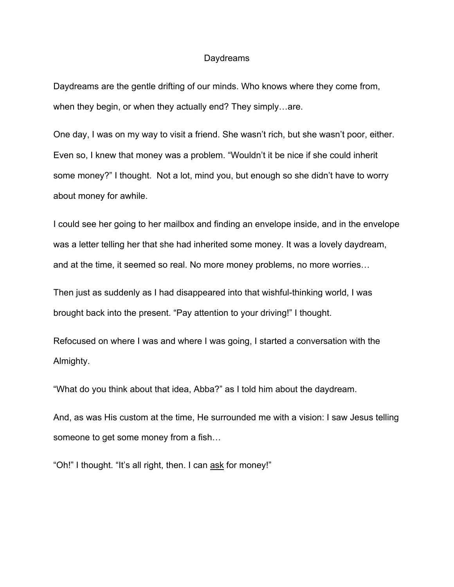## **Daydreams**

Daydreams are the gentle drifting of our minds. Who knows where they come from, when they begin, or when they actually end? They simply…are.

One day, I was on my way to visit a friend. She wasn't rich, but she wasn't poor, either. Even so, I knew that money was a problem. "Wouldn't it be nice if she could inherit some money?" I thought. Not a lot, mind you, but enough so she didn't have to worry about money for awhile.

I could see her going to her mailbox and finding an envelope inside, and in the envelope was a letter telling her that she had inherited some money. It was a lovely daydream, and at the time, it seemed so real. No more money problems, no more worries…

Then just as suddenly as I had disappeared into that wishful-thinking world, I was brought back into the present. "Pay attention to your driving!" I thought.

Refocused on where I was and where I was going, I started a conversation with the Almighty.

"What do you think about that idea, Abba?" as I told him about the daydream.

And, as was His custom at the time, He surrounded me with a vision: I saw Jesus telling someone to get some money from a fish…

"Oh!" I thought. "It's all right, then. I can ask for money!"